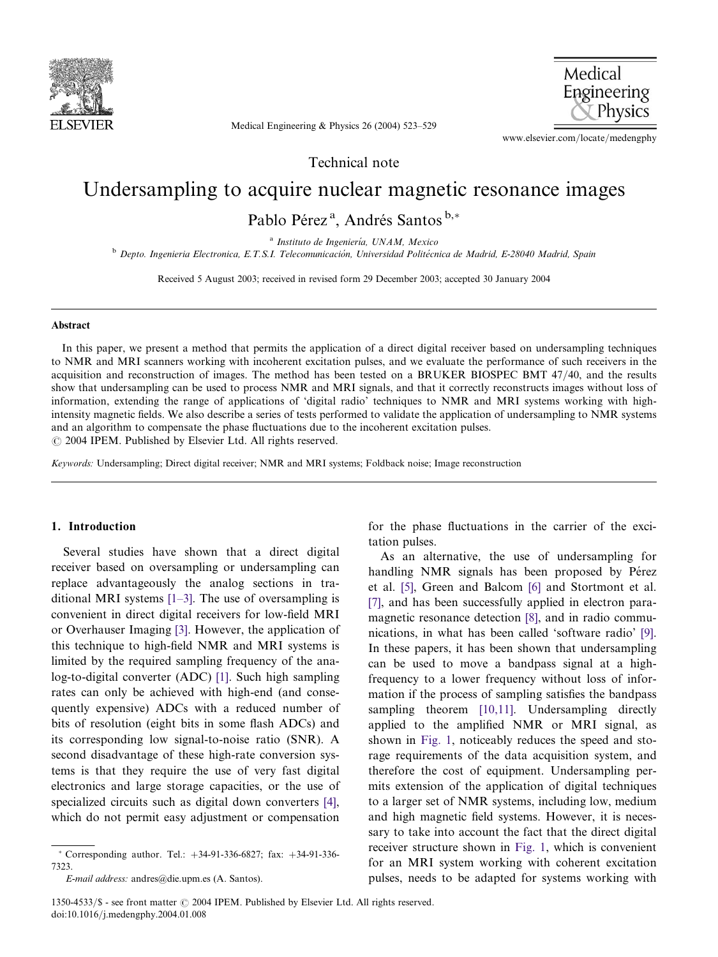

Medical Engineering Physics

Medical Engineering & Physics 26 (2004) 523–529

www.elsevier.com/locate/medengphy

Technical note

# Undersampling to acquire nuclear magnetic resonance images

Pablo Pérez<sup>a</sup>, Andrés Santos <sup>b,\*</sup>

 $a$  Instituto de Ingeniería, UNAM, Mexico <sup>b</sup> Depto. Ingenieria Electronica, E.T.S.I. Telecomunicación, Universidad Politécnica de Madrid, E-28040 Madrid, Spain

Received 5 August 2003; received in revised form 29 December 2003; accepted 30 January 2004

#### Abstract

In this paper, we present a method that permits the application of a direct digital receiver based on undersampling techniques to NMR and MRI scanners working with incoherent excitation pulses, and we evaluate the performance of such receivers in the acquisition and reconstruction of images. The method has been tested on a BRUKER BIOSPEC BMT 47/40, and the results show that undersampling can be used to process NMR and MRI signals, and that it correctly reconstructs images without loss of information, extending the range of applications of 'digital radio' techniques to NMR and MRI systems working with highintensity magnetic fields. We also describe a series of tests performed to validate the application of undersampling to NMR systems and an algorithm to compensate the phase fluctuations due to the incoherent excitation pulses.  $\odot$  2004 IPEM. Published by Elsevier Ltd. All rights reserved.

Keywords: Undersampling; Direct digital receiver; NMR and MRI systems; Foldback noise; Image reconstruction

### 1. Introduction

Several studies have shown that a direct digital receiver based on oversampling or undersampling can replace advantageously the analog sections in traditional MRI systems [\[1–3\].](#page-6-0) The use of oversampling is convenient in direct digital receivers for low-field MRI or Overhauser Imaging [\[3\].](#page-6-0) However, the application of this technique to high-field NMR and MRI systems is limited by the required sampling frequency of the analog-to-digital converter (ADC) [\[1\].](#page-6-0) Such high sampling rates can only be achieved with high-end (and consequently expensive) ADCs with a reduced number of bits of resolution (eight bits in some flash ADCs) and its corresponding low signal-to-noise ratio (SNR). A second disadvantage of these high-rate conversion systems is that they require the use of very fast digital electronics and large storage capacities, or the use of specialized circuits such as digital down converters [\[4\],](#page-6-0) which do not permit easy adjustment or compensation

for the phase fluctuations in the carrier of the excitation pulses.

As an alternative, the use of undersampling for handling NMR signals has been proposed by Pérez et al. [\[5\],](#page-6-0) Green and Balcom [\[6\]](#page-6-0) and Stortmont et al. [\[7\],](#page-6-0) and has been successfully applied in electron paramagnetic resonance detection [\[8\]](#page-6-0), and in radio communications, in what has been called 'software radio' [\[9\].](#page-6-0) In these papers, it has been shown that undersampling can be used to move a bandpass signal at a highfrequency to a lower frequency without loss of information if the process of sampling satisfies the bandpass sampling theorem [\[10,11\].](#page-6-0) Undersampling directly applied to the amplified NMR or MRI signal, as shown in [Fig. 1,](#page-1-0) noticeably reduces the speed and storage requirements of the data acquisition system, and therefore the cost of equipment. Undersampling permits extension of the application of digital techniques to a larger set of NMR systems, including low, medium and high magnetic field systems. However, it is necessary to take into account the fact that the direct digital receiver structure shown in [Fig. 1,](#page-1-0) which is convenient for an MRI system working with coherent excitation pulses, needs to be adapted for systems working with

Corresponding author. Tel.: +34-91-336-6827; fax: +34-91-336- 7323.

E-mail address: andres@die.upm.es (A. Santos).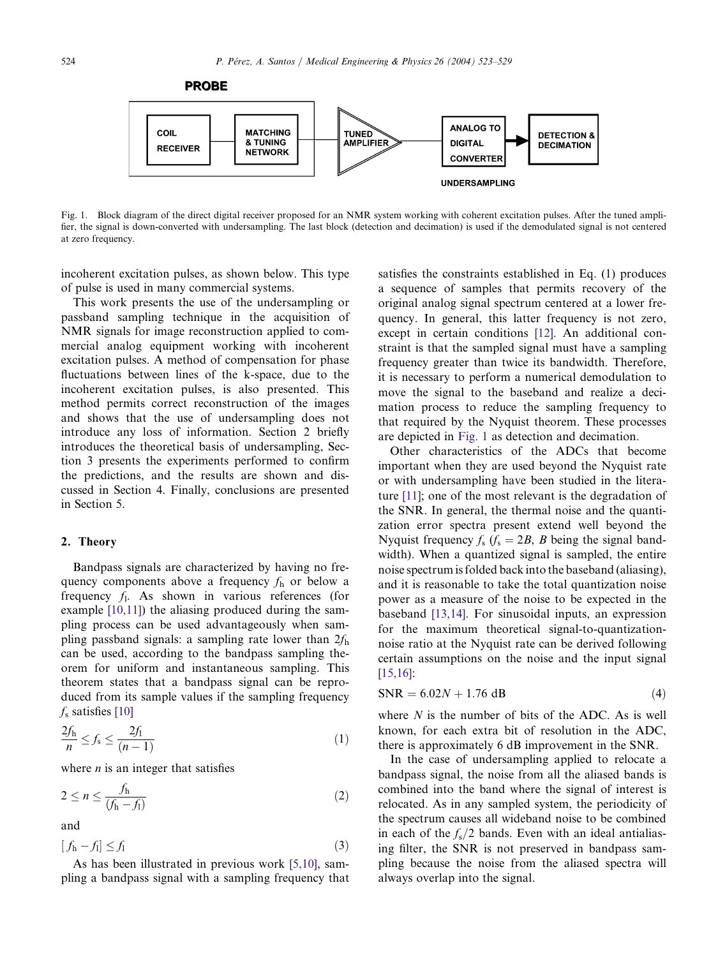<span id="page-1-0"></span>

Fig. 1. Block diagram of the direct digital receiver proposed for an NMR system working with coherent excitation pulses. After the tuned amplifier, the signal is down-converted with undersampling. The last block (detection and decimation) is used if the demodulated signal is not centered at zero frequency.

incoherent excitation pulses, as shown below. This type of pulse is used in many commercial systems.

This work presents the use of the undersampling or passband sampling technique in the acquisition of NMR signals for image reconstruction applied to commercial analog equipment working with incoherent excitation pulses. A method of compensation for phase fluctuations between lines of the k-space, due to the incoherent excitation pulses, is also presented. This method permits correct reconstruction of the images and shows that the use of undersampling does not introduce any loss of information. Section 2 briefly introduces the theoretical basis of undersampling, Section 3 presents the experiments performed to confirm the predictions, and the results are shown and discussed in Section 4. Finally, conclusions are presented in Section 5.

## 2. Theory

Bandpass signals are characterized by having no frequency components above a frequency  $f_h$  or below a frequency  $f_1$ . As shown in various references (for example [\[10,11\]](#page-6-0)) the aliasing produced during the sampling process can be used advantageously when sampling passband signals: a sampling rate lower than  $2f<sub>h</sub>$ can be used, according to the bandpass sampling theorem for uniform and instantaneous sampling. This theorem states that a bandpass signal can be reproduced from its sample values if the sampling frequency  $f<sub>s</sub>$  satisfies [\[10\]](#page-6-0)

$$
\frac{2f_h}{n} \le f_s \le \frac{2f_1}{(n-1)}\tag{1}
$$

where  $n$  is an integer that satisfies

$$
2 \le n \le \frac{f_h}{(f_h - f_l)}\tag{2}
$$

and

$$
[f_h - f_l] \le f_l \tag{3}
$$

As has been illustrated in previous work [\[5,10\]](#page-6-0), sampling a bandpass signal with a sampling frequency that satisfies the constraints established in Eq. (1) produces a sequence of samples that permits recovery of the original analog signal spectrum centered at a lower frequency. In general, this latter frequency is not zero, except in certain conditions [\[12\].](#page-6-0) An additional constraint is that the sampled signal must have a sampling frequency greater than twice its bandwidth. Therefore, it is necessary to perform a numerical demodulation to move the signal to the baseband and realize a decimation process to reduce the sampling frequency to that required by the Nyquist theorem. These processes are depicted in Fig. 1 as detection and decimation.

Other characteristics of the ADCs that become important when they are used beyond the Nyquist rate or with undersampling have been studied in the literature [\[11\]](#page-6-0); one of the most relevant is the degradation of the SNR. In general, the thermal noise and the quantization error spectra present extend well beyond the Nyquist frequency  $f_s$  ( $f_s = 2B$ , B being the signal bandwidth). When a quantized signal is sampled, the entire noise spectrum is folded back into the baseband (aliasing), and it is reasonable to take the total quantization noise power as a measure of the noise to be expected in the baseband [\[13,14\]](#page-6-0). For sinusoidal inputs, an expression for the maximum theoretical signal-to-quantizationnoise ratio at the Nyquist rate can be derived following certain assumptions on the noise and the input signal [\[15,16\]:](#page-6-0)

$$
SNR = 6.02N + 1.76 \text{ dB}
$$
 (4)

where  $N$  is the number of bits of the ADC. As is well known, for each extra bit of resolution in the ADC, there is approximately 6 dB improvement in the SNR.

In the case of undersampling applied to relocate a bandpass signal, the noise from all the aliased bands is combined into the band where the signal of interest is relocated. As in any sampled system, the periodicity of the spectrum causes all wideband noise to be combined in each of the  $f_s/2$  bands. Even with an ideal antialiasing filter, the SNR is not preserved in bandpass sampling because the noise from the aliased spectra will always overlap into the signal.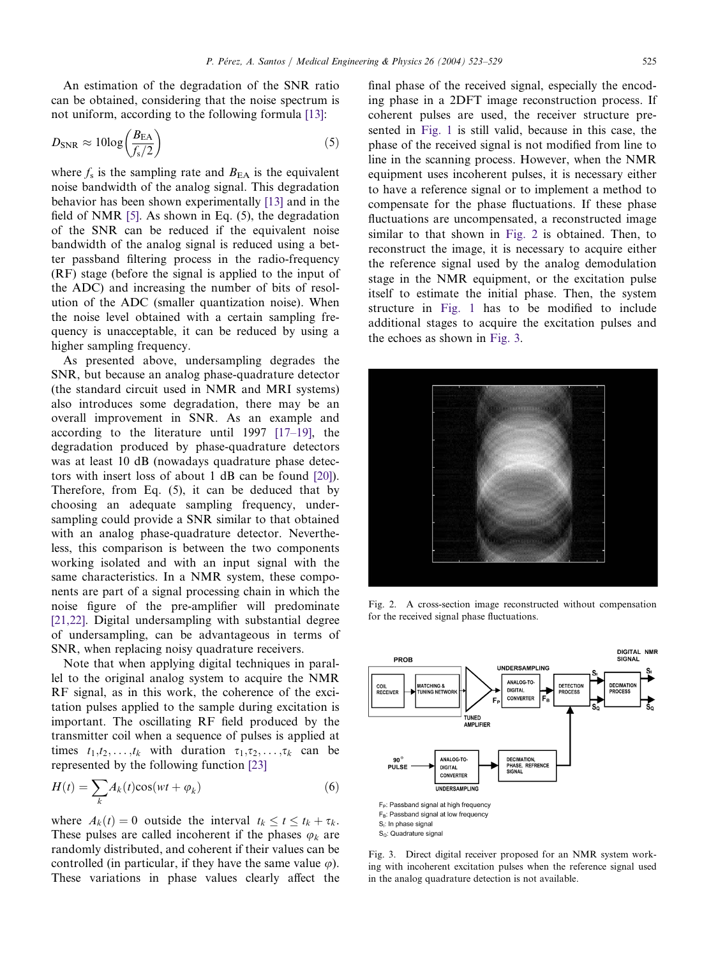An estimation of the degradation of the SNR ratio can be obtained, considering that the noise spectrum is not uniform, according to the following formula [\[13\]:](#page-6-0)

$$
D_{\text{SNR}} \approx 10 \log \left( \frac{B_{\text{EA}}}{f_{\text{s}}/2} \right) \tag{5}
$$

where  $f_s$  is the sampling rate and  $B_{EA}$  is the equivalent noise bandwidth of the analog signal. This degradation behavior has been shown experimentally [\[13\]](#page-6-0) and in the field of NMR [\[5\]](#page-6-0). As shown in Eq. (5), the degradation of the SNR can be reduced if the equivalent noise bandwidth of the analog signal is reduced using a better passband filtering process in the radio-frequency (RF) stage (before the signal is applied to the input of the ADC) and increasing the number of bits of resolution of the ADC (smaller quantization noise). When the noise level obtained with a certain sampling frequency is unacceptable, it can be reduced by using a higher sampling frequency.

As presented above, undersampling degrades the SNR, but because an analog phase-quadrature detector (the standard circuit used in NMR and MRI systems) also introduces some degradation, there may be an overall improvement in SNR. As an example and according to the literature until 1997 [\[17–19\],](#page-6-0) the degradation produced by phase-quadrature detectors was at least 10 dB (nowadays quadrature phase detectors with insert loss of about 1 dB can be found [\[20\]\)](#page-6-0). Therefore, from Eq. (5), it can be deduced that by choosing an adequate sampling frequency, undersampling could provide a SNR similar to that obtained with an analog phase-quadrature detector. Nevertheless, this comparison is between the two components working isolated and with an input signal with the same characteristics. In a NMR system, these components are part of a signal processing chain in which the noise figure of the pre-amplifier will predominate [\[21,22\].](#page-6-0) Digital undersampling with substantial degree of undersampling, can be advantageous in terms of SNR, when replacing noisy quadrature receivers.

Note that when applying digital techniques in parallel to the original analog system to acquire the NMR RF signal, as in this work, the coherence of the excitation pulses applied to the sample during excitation is important. The oscillating RF field produced by the transmitter coil when a sequence of pulses is applied at times  $t_1,t_2,\ldots,t_k$  with duration  $\tau_1,\tau_2,\ldots,\tau_k$  can be represented by the following function [\[23\]](#page-6-0)

$$
H(t) = \sum_{k} A_k(t) \cos(wt + \varphi_k)
$$
\n(6)

where  $A_k(t) = 0$  outside the interval  $t_k \le t \le t_k + \tau_k$ . These pulses are called incoherent if the phases  $\varphi_k$  are randomly distributed, and coherent if their values can be controlled (in particular, if they have the same value  $\varphi$ ). These variations in phase values clearly affect the final phase of the received signal, especially the encoding phase in a 2DFT image reconstruction process. If coherent pulses are used, the receiver structure presented in [Fig. 1](#page-1-0) is still valid, because in this case, the phase of the received signal is not modified from line to line in the scanning process. However, when the NMR equipment uses incoherent pulses, it is necessary either to have a reference signal or to implement a method to compensate for the phase fluctuations. If these phase fluctuations are uncompensated, a reconstructed image similar to that shown in Fig. 2 is obtained. Then, to reconstruct the image, it is necessary to acquire either the reference signal used by the analog demodulation stage in the NMR equipment, or the excitation pulse itself to estimate the initial phase. Then, the system structure in [Fig. 1](#page-1-0) has to be modified to include additional stages to acquire the excitation pulses and the echoes as shown in Fig. 3.



Fig. 2. A cross-section image reconstructed without compensation for the received signal phase fluctuations.



Fig. 3. Direct digital receiver proposed for an NMR system working with incoherent excitation pulses when the reference signal used in the analog quadrature detection is not available.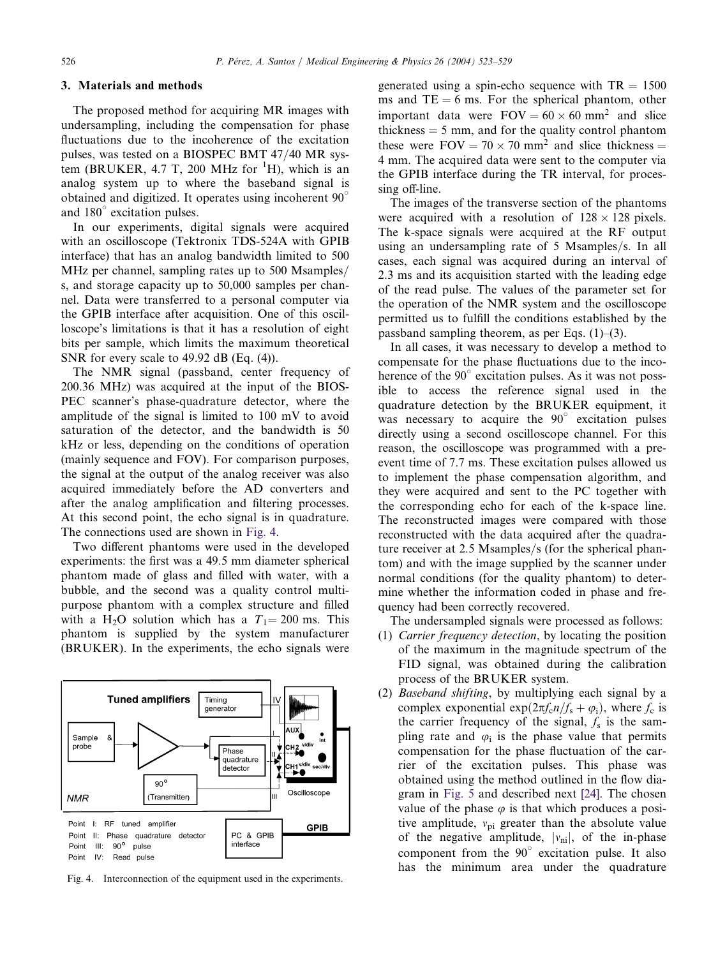#### 3. Materials and methods

The proposed method for acquiring MR images with undersampling, including the compensation for phase fluctuations due to the incoherence of the excitation pulses, was tested on a BIOSPEC BMT 47/40 MR system (BRUKER, 4.7 T, 200 MHz for  ${}^{1}H$ ), which is an analog system up to where the baseband signal is obtained and digitized. It operates using incoherent  $90^\circ$ and 180° excitation pulses.

In our experiments, digital signals were acquired with an oscilloscope (Tektronix TDS-524A with GPIB interface) that has an analog bandwidth limited to 500 MHz per channel, sampling rates up to 500 Msamples/ s, and storage capacity up to 50,000 samples per channel. Data were transferred to a personal computer via the GPIB interface after acquisition. One of this oscilloscope's limitations is that it has a resolution of eight bits per sample, which limits the maximum theoretical SNR for every scale to 49.92 dB (Eq. (4)).

The NMR signal (passband, center frequency of 200.36 MHz) was acquired at the input of the BIOS-PEC scanner's phase-quadrature detector, where the amplitude of the signal is limited to 100 mV to avoid saturation of the detector, and the bandwidth is 50 kHz or less, depending on the conditions of operation (mainly sequence and FOV). For comparison purposes, the signal at the output of the analog receiver was also acquired immediately before the AD converters and after the analog amplification and filtering processes. At this second point, the echo signal is in quadrature. The connections used are shown in Fig. 4.

Two different phantoms were used in the developed experiments: the first was a 49.5 mm diameter spherical phantom made of glass and filled with water, with a bubble, and the second was a quality control multipurpose phantom with a complex structure and filled with a H<sub>2</sub>O solution which has a  $T_1 = 200$  ms. This phantom is supplied by the system manufacturer (BRUKER). In the experiments, the echo signals were



Fig. 4. Interconnection of the equipment used in the experiments.

generated using a spin-echo sequence with  $TR = 1500$ ms and  $TE = 6$  ms. For the spherical phantom, other important data were  $FOV = 60 \times 60$  mm<sup>2</sup> and slice thickness  $=$  5 mm, and for the quality control phantom these were  $FOV = 70 \times 70$  mm<sup>2</sup> and slice thickness = 4 mm. The acquired data were sent to the computer via the GPIB interface during the TR interval, for processing off-line.

The images of the transverse section of the phantoms were acquired with a resolution of  $128 \times 128$  pixels. The k-space signals were acquired at the RF output using an undersampling rate of 5 Msamples/s. In all cases, each signal was acquired during an interval of 2.3 ms and its acquisition started with the leading edge of the read pulse. The values of the parameter set for the operation of the NMR system and the oscilloscope permitted us to fulfill the conditions established by the passband sampling theorem, as per Eqs.  $(1)$ – $(3)$ .

In all cases, it was necessary to develop a method to compensate for the phase fluctuations due to the incoherence of the  $90^\circ$  excitation pulses. As it was not possible to access the reference signal used in the quadrature detection by the BRUKER equipment, it was necessary to acquire the  $90^\circ$  excitation pulses directly using a second oscilloscope channel. For this reason, the oscilloscope was programmed with a preevent time of 7.7 ms. These excitation pulses allowed us to implement the phase compensation algorithm, and they were acquired and sent to the PC together with the corresponding echo for each of the k-space line. The reconstructed images were compared with those reconstructed with the data acquired after the quadrature receiver at 2.5 Msamples/s (for the spherical phantom) and with the image supplied by the scanner under normal conditions (for the quality phantom) to determine whether the information coded in phase and frequency had been correctly recovered.

The undersampled signals were processed as follows:

- (1) Carrier frequency detection, by locating the position of the maximum in the magnitude spectrum of the FID signal, was obtained during the calibration process of the BRUKER system.
- (2) Baseband shifting, by multiplying each signal by a complex exponential  $\exp(2\pi f_c n/f_s + \varphi_i)$ , where  $f_c$  is the carrier frequency of the signal,  $f_s$  is the sampling rate and  $\varphi_i$  is the phase value that permits compensation for the phase fluctuation of the carrier of the excitation pulses. This phase was obtained using the method outlined in the flow diagram in [Fig. 5](#page-4-0) and described next [\[24\]](#page-6-0). The chosen value of the phase  $\varphi$  is that which produces a positive amplitude,  $v_{pi}$  greater than the absolute value of the negative amplitude,  $|v_{ni}|$ , of the in-phase component from the  $90^\circ$  excitation pulse. It also has the minimum area under the quadrature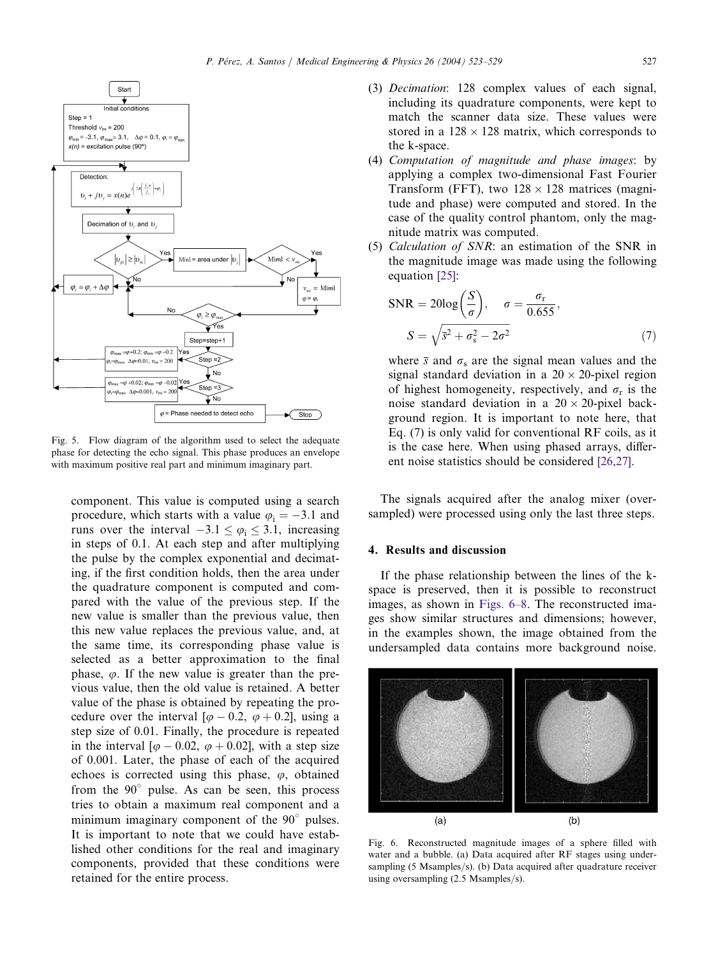<span id="page-4-0"></span>

Fig. 5. Flow diagram of the algorithm used to select the adequate phase for detecting the echo signal. This phase produces an envelope with maximum positive real part and minimum imaginary part.

component. This value is computed using a search procedure, which starts with a value  $\varphi$ <sub>i</sub> = -3.1 and runs over the interval  $-3.1 \le \varphi_i \le 3.1$ , increasing in steps of 0.1. At each step and after multiplying the pulse by the complex exponential and decimating, if the first condition holds, then the area under the quadrature component is computed and compared with the value of the previous step. If the new value is smaller than the previous value, then this new value replaces the previous value, and, at the same time, its corresponding phase value is selected as a better approximation to the final phase,  $\varphi$ . If the new value is greater than the previous value, then the old value is retained. A better value of the phase is obtained by repeating the procedure over the interval [ $\varphi$  – 0.2,  $\varphi$  + 0.2], using a step size of 0.01. Finally, the procedure is repeated in the interval [ $\varphi$  – 0.02,  $\varphi$  + 0.02], with a step size of 0.001. Later, the phase of each of the acquired echoes is corrected using this phase,  $\varphi$ , obtained from the  $90^\circ$  pulse. As can be seen, this process tries to obtain a maximum real component and a minimum imaginary component of the  $90^\circ$  pulses. It is important to note that we could have established other conditions for the real and imaginary components, provided that these conditions were retained for the entire process.

- (3) Decimation: 128 complex values of each signal, including its quadrature components, were kept to match the scanner data size. These values were stored in a  $128 \times 128$  matrix, which corresponds to the k-space.
- (4) Computation of magnitude and phase images: by applying a complex two-dimensional Fast Fourier Transform (FFT), two  $128 \times 128$  matrices (magnitude and phase) were computed and stored. In the case of the quality control phantom, only the magnitude matrix was computed.
- (5) Calculation of SNR: an estimation of the SNR in the magnitude image was made using the following equation [\[25\]:](#page-6-0)

$$
SNR = 20\log\left(\frac{S}{\sigma}\right), \quad \sigma = \frac{\sigma_r}{0.655},
$$

$$
S = \sqrt{s^2 + \sigma_s^2 - 2\sigma^2} \tag{7}
$$

where  $\bar{s}$  and  $\sigma_s$  are the signal mean values and the signal standard deviation in a  $20 \times 20$ -pixel region of highest homogeneity, respectively, and  $\sigma_r$  is the noise standard deviation in a  $20 \times 20$ -pixel background region. It is important to note here, that Eq. (7) is only valid for conventional RF coils, as it is the case here. When using phased arrays, different noise statistics should be considered [\[26,27\].](#page-6-0)

The signals acquired after the analog mixer (oversampled) were processed using only the last three steps.

# 4. Results and discussion

If the phase relationship between the lines of the kspace is preserved, then it is possible to reconstruct images, as shown in Figs. 6–8. The reconstructed images show similar structures and dimensions; however, in the examples shown, the image obtained from the undersampled data contains more background noise.



Fig. 6. Reconstructed magnitude images of a sphere filled with water and a bubble. (a) Data acquired after RF stages using undersampling (5 Msamples/s). (b) Data acquired after quadrature receiver using oversampling (2.5 Msamples/s).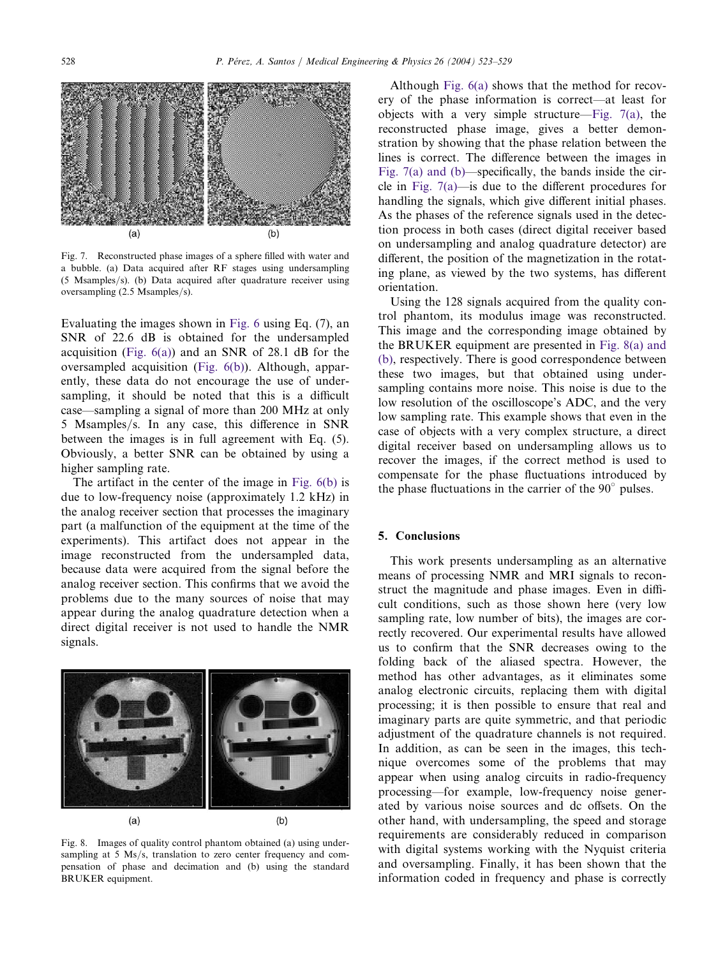

Fig. 7. Reconstructed phase images of a sphere filled with water and a bubble. (a) Data acquired after RF stages using undersampling (5 Msamples/s). (b) Data acquired after quadrature receiver using oversampling (2.5 Msamples/s).

Evaluating the images shown in [Fig. 6](#page-4-0) using Eq. (7), an SNR of 22.6 dB is obtained for the undersampled acquisition (Fig.  $6(a)$ ) and an SNR of 28.1 dB for the oversampled acquisition ([Fig. 6\(b\)\)](#page-4-0). Although, apparently, these data do not encourage the use of undersampling, it should be noted that this is a difficult case—sampling a signal of more than 200 MHz at only 5 Msamples/s. In any case, this difference in SNR between the images is in full agreement with Eq. (5). Obviously, a better SNR can be obtained by using a higher sampling rate.

The artifact in the center of the image in [Fig. 6\(b\)](#page-4-0) is due to low-frequency noise (approximately 1.2 kHz) in the analog receiver section that processes the imaginary part (a malfunction of the equipment at the time of the experiments). This artifact does not appear in the image reconstructed from the undersampled data, because data were acquired from the signal before the analog receiver section. This confirms that we avoid the problems due to the many sources of noise that may appear during the analog quadrature detection when a direct digital receiver is not used to handle the NMR signals.



Fig. 8. Images of quality control phantom obtained (a) using undersampling at 5 Ms/s, translation to zero center frequency and compensation of phase and decimation and (b) using the standard BRUKER equipment.

Although [Fig. 6\(a\)](#page-4-0) shows that the method for recovery of the phase information is correct—at least for objects with a very simple structure—Fig. 7(a), the reconstructed phase image, gives a better demonstration by showing that the phase relation between the lines is correct. The difference between the images in Fig. 7(a) and (b)—specifically, the bands inside the circle in Fig. 7(a)—is due to the different procedures for handling the signals, which give different initial phases. As the phases of the reference signals used in the detection process in both cases (direct digital receiver based on undersampling and analog quadrature detector) are different, the position of the magnetization in the rotating plane, as viewed by the two systems, has different orientation.

Using the 128 signals acquired from the quality control phantom, its modulus image was reconstructed. This image and the corresponding image obtained by the BRUKER equipment are presented in Fig. 8(a) and (b), respectively. There is good correspondence between these two images, but that obtained using undersampling contains more noise. This noise is due to the low resolution of the oscilloscope's ADC, and the very low sampling rate. This example shows that even in the case of objects with a very complex structure, a direct digital receiver based on undersampling allows us to recover the images, if the correct method is used to compensate for the phase fluctuations introduced by the phase fluctuations in the carrier of the  $90^\circ$  pulses.

#### 5. Conclusions

This work presents undersampling as an alternative means of processing NMR and MRI signals to reconstruct the magnitude and phase images. Even in difficult conditions, such as those shown here (very low sampling rate, low number of bits), the images are correctly recovered. Our experimental results have allowed us to confirm that the SNR decreases owing to the folding back of the aliased spectra. However, the method has other advantages, as it eliminates some analog electronic circuits, replacing them with digital processing; it is then possible to ensure that real and imaginary parts are quite symmetric, and that periodic adjustment of the quadrature channels is not required. In addition, as can be seen in the images, this technique overcomes some of the problems that may appear when using analog circuits in radio-frequency processing—for example, low-frequency noise generated by various noise sources and dc offsets. On the other hand, with undersampling, the speed and storage requirements are considerably reduced in comparison with digital systems working with the Nyquist criteria and oversampling. Finally, it has been shown that the information coded in frequency and phase is correctly